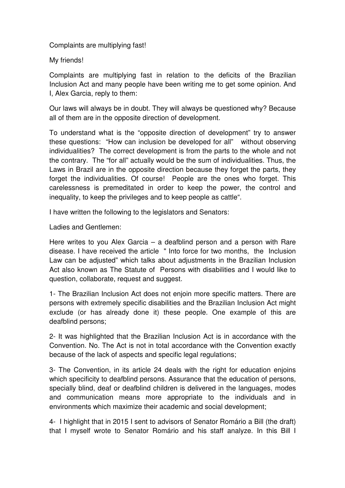Complaints are multiplying fast!

My friends!

Complaints are multiplying fast in relation to the deficits of the Brazilian Inclusion Act and many people have been writing me to get some opinion. And I, Alex Garcia, reply to them:

Our laws will always be in doubt. They will always be questioned why? Because all of them are in the opposite direction of development.

To understand what is the "opposite direction of development" try to answer these questions: "How can inclusion be developed for all" without observing individualities? The correct development is from the parts to the whole and not the contrary. The "for all" actually would be the sum of individualities. Thus, the Laws in Brazil are in the opposite direction because they forget the parts, they forget the individualities. Of course! People are the ones who forget. This carelessness is premeditated in order to keep the power, the control and inequality, to keep the privileges and to keep people as cattle".

I have written the following to the legislators and Senators:

Ladies and Gentlemen:

Here writes to you Alex Garcia – a deafblind person and a person with Rare disease. I have received the article " Into force for two months, the Inclusion Law can be adjusted" which talks about adjustments in the Brazilian Inclusion Act also known as The Statute of Persons with disabilities and I would like to question, collaborate, request and suggest.

1- The Brazilian Inclusion Act does not enjoin more specific matters. There are persons with extremely specific disabilities and the Brazilian Inclusion Act might exclude (or has already done it) these people. One example of this are deafblind persons;

2- It was highlighted that the Brazilian Inclusion Act is in accordance with the Convention. No. The Act is not in total accordance with the Convention exactly because of the lack of aspects and specific legal regulations;

3- The Convention, in its article 24 deals with the right for education enjoins which specificity to deafblind persons. Assurance that the education of persons, specially blind, deaf or deafblind children is delivered in the languages, modes and communication means more appropriate to the individuals and in environments which maximize their academic and social development;

4- I highlight that in 2015 I sent to advisors of Senator Romário a Bill (the draft) that I myself wrote to Senator Romário and his staff analyze. In this Bill I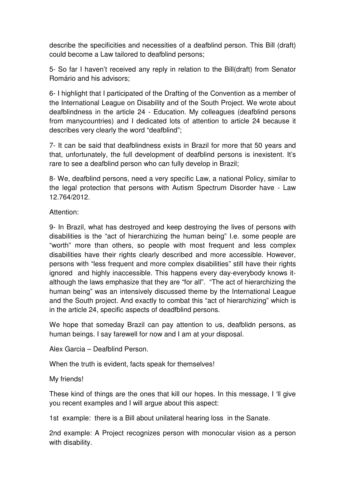describe the specificities and necessities of a deafblind person. This Bill (draft) could become a Law tailored to deafblind persons;

5- So far I haven't received any reply in relation to the Bill(draft) from Senator Romário and his advisors;

6- I highlight that I participated of the Drafting of the Convention as a member of the International League on Disability and of the South Project. We wrote about deafblindness in the article 24 - Education. My colleagues (deafblind persons from manycountries) and I dedicated lots of attention to article 24 because it describes very clearly the word "deafblind";

7- It can be said that deafblindness exists in Brazil for more that 50 years and that, unfortunately, the full development of deafblind persons is inexistent. It's rare to see a deafblind person who can fully develop in Brazil;

8- We, deafblind persons, need a very specific Law, a national Policy, similar to the legal protection that persons with Autism Spectrum Disorder have - Law 12.764/2012.

Attention:

9- In Brazil, what has destroyed and keep destroying the lives of persons with disabilities is the "act of hierarchizing the human being" I.e. some people are "worth" more than others, so people with most frequent and less complex disabilities have their rights clearly described and more accessible. However, persons with "less frequent and more complex disabilities" still have their rights ignored and highly inaccessible. This happens every day-everybody knows italthough the laws emphasize that they are "for all". "The act of hierarchizing the human being" was an intensively discussed theme by the International League and the South project. And exactly to combat this "act of hierarchizing" which is in the article 24, specific aspects of deadfblind persons.

We hope that someday Brazil can pay attention to us, deafblidn persons, as human beings. I say farewell for now and I am at your disposal.

Alex Garcia – Deafblind Person.

When the truth is evident, facts speak for themselves!

My friends!

These kind of things are the ones that kill our hopes. In this message, I 'll give you recent examples and I will argue about this aspect:

1st example: there is a Bill about unilateral hearing loss in the Sanate.

2nd example: A Project recognizes person with monocular vision as a person with disability.